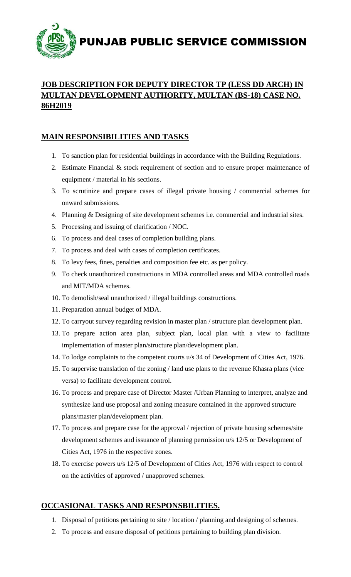

## **JOB DESCRIPTION FOR DEPUTY DIRECTOR TP (LESS DD ARCH) IN MULTAN DEVELOPMENT AUTHORITY, MULTAN (BS-18) CASE NO. 86H2019**

# **MAIN RESPONSIBILITIES AND TASKS**

- 1. To sanction plan for residential buildings in accordance with the Building Regulations.
- 2. Estimate Financial & stock requirement of section and to ensure proper maintenance of equipment / material in his sections.
- 3. To scrutinize and prepare cases of illegal private housing / commercial schemes for onward submissions.
- 4. Planning & Designing of site development schemes i.e. commercial and industrial sites.
- 5. Processing and issuing of clarification / NOC.
- 6. To process and deal cases of completion building plans.
- 7. To process and deal with cases of completion certificates.
- 8. To levy fees, fines, penalties and composition fee etc. as per policy.
- 9. To check unauthorized constructions in MDA controlled areas and MDA controlled roads and MIT/MDA schemes.
- 10. To demolish/seal unauthorized / illegal buildings constructions.
- 11. Preparation annual budget of MDA.
- 12. To carryout survey regarding revision in master plan / structure plan development plan.
- 13. To prepare action area plan, subject plan, local plan with a view to facilitate implementation of master plan/structure plan/development plan.
- 14. To lodge complaints to the competent courts u/s 34 of Development of Cities Act, 1976.
- 15. To supervise translation of the zoning / land use plans to the revenue Khasra plans (vice versa) to facilitate development control.
- 16. To process and prepare case of Director Master /Urban Planning to interpret, analyze and synthesize land use proposal and zoning measure contained in the approved structure plans/master plan/development plan.
- 17. To process and prepare case for the approval / rejection of private housing schemes/site development schemes and issuance of planning permission u/s 12/5 or Development of Cities Act, 1976 in the respective zones.
- 18. To exercise powers u/s 12/5 of Development of Cities Act, 1976 with respect to control on the activities of approved / unapproved schemes.

## **OCCASIONAL TASKS AND RESPONSBILITIES.**

- 1. Disposal of petitions pertaining to site / location / planning and designing of schemes.
- 2. To process and ensure disposal of petitions pertaining to building plan division.